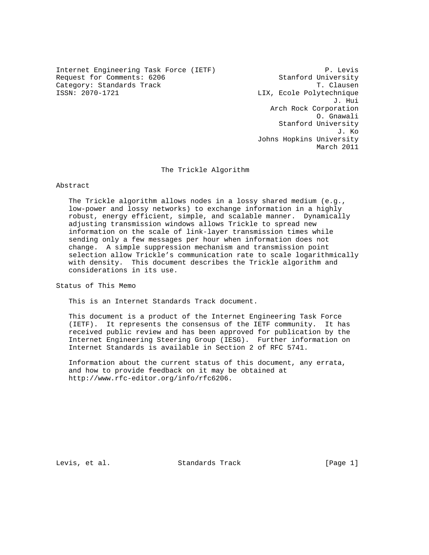Internet Engineering Task Force (IETF) P. Levis Request for Comments: 6206 Stanford University Category: Standards Track Track T. Clausen<br>
T. Clausen<br>
ISSN: 2070-1721

LIX, Ecole Polytechnique J. Hui Arch Rock Corporation O. Gnawali Stanford University J. Ko Johns Hopkins University March 2011

The Trickle Algorithm

## Abstract

 The Trickle algorithm allows nodes in a lossy shared medium (e.g., low-power and lossy networks) to exchange information in a highly robust, energy efficient, simple, and scalable manner. Dynamically adjusting transmission windows allows Trickle to spread new information on the scale of link-layer transmission times while sending only a few messages per hour when information does not change. A simple suppression mechanism and transmission point selection allow Trickle's communication rate to scale logarithmically with density. This document describes the Trickle algorithm and considerations in its use.

Status of This Memo

This is an Internet Standards Track document.

 This document is a product of the Internet Engineering Task Force (IETF). It represents the consensus of the IETF community. It has received public review and has been approved for publication by the Internet Engineering Steering Group (IESG). Further information on Internet Standards is available in Section 2 of RFC 5741.

 Information about the current status of this document, any errata, and how to provide feedback on it may be obtained at http://www.rfc-editor.org/info/rfc6206.

Levis, et al. Standards Track [Page 1]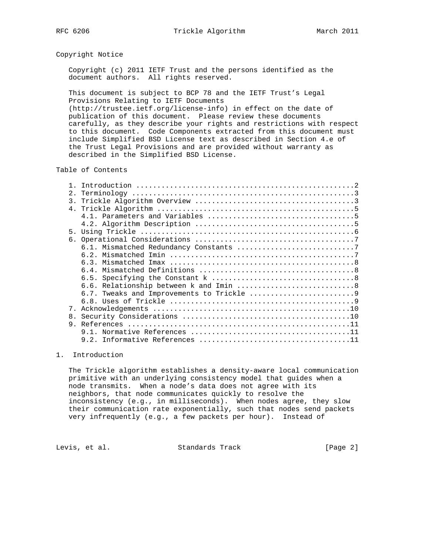## Copyright Notice

 Copyright (c) 2011 IETF Trust and the persons identified as the document authors. All rights reserved.

 This document is subject to BCP 78 and the IETF Trust's Legal Provisions Relating to IETF Documents (http://trustee.ietf.org/license-info) in effect on the date of

 publication of this document. Please review these documents carefully, as they describe your rights and restrictions with respect to this document. Code Components extracted from this document must include Simplified BSD License text as described in Section 4.e of the Trust Legal Provisions and are provided without warranty as described in the Simplified BSD License.

# Table of Contents

| 2.             |  |
|----------------|--|
|                |  |
|                |  |
|                |  |
|                |  |
| 5 <sub>1</sub> |  |
|                |  |
|                |  |
|                |  |
|                |  |
|                |  |
|                |  |
|                |  |
|                |  |
|                |  |
| 7.             |  |
| 8.             |  |
|                |  |
|                |  |
|                |  |
|                |  |

# 1. Introduction

 The Trickle algorithm establishes a density-aware local communication primitive with an underlying consistency model that guides when a node transmits. When a node's data does not agree with its neighbors, that node communicates quickly to resolve the inconsistency (e.g., in milliseconds). When nodes agree, they slow their communication rate exponentially, such that nodes send packets very infrequently (e.g., a few packets per hour). Instead of

Levis, et al. Standards Track [Page 2]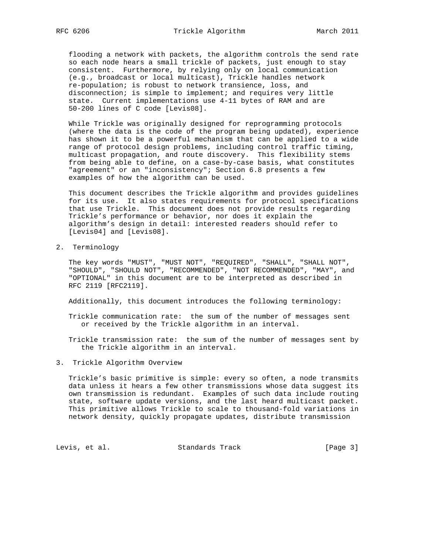flooding a network with packets, the algorithm controls the send rate so each node hears a small trickle of packets, just enough to stay consistent. Furthermore, by relying only on local communication (e.g., broadcast or local multicast), Trickle handles network re-population; is robust to network transience, loss, and disconnection; is simple to implement; and requires very little state. Current implementations use 4-11 bytes of RAM and are 50-200 lines of C code [Levis08].

 While Trickle was originally designed for reprogramming protocols (where the data is the code of the program being updated), experience has shown it to be a powerful mechanism that can be applied to a wide range of protocol design problems, including control traffic timing, multicast propagation, and route discovery. This flexibility stems from being able to define, on a case-by-case basis, what constitutes "agreement" or an "inconsistency"; Section 6.8 presents a few examples of how the algorithm can be used.

 This document describes the Trickle algorithm and provides guidelines for its use. It also states requirements for protocol specifications that use Trickle. This document does not provide results regarding Trickle's performance or behavior, nor does it explain the algorithm's design in detail: interested readers should refer to [Levis04] and [Levis08].

2. Terminology

 The key words "MUST", "MUST NOT", "REQUIRED", "SHALL", "SHALL NOT", "SHOULD", "SHOULD NOT", "RECOMMENDED", "NOT RECOMMENDED", "MAY", and "OPTIONAL" in this document are to be interpreted as described in RFC 2119 [RFC2119].

Additionally, this document introduces the following terminology:

 Trickle communication rate: the sum of the number of messages sent or received by the Trickle algorithm in an interval.

 Trickle transmission rate: the sum of the number of messages sent by the Trickle algorithm in an interval.

3. Trickle Algorithm Overview

 Trickle's basic primitive is simple: every so often, a node transmits data unless it hears a few other transmissions whose data suggest its own transmission is redundant. Examples of such data include routing state, software update versions, and the last heard multicast packet. This primitive allows Trickle to scale to thousand-fold variations in network density, quickly propagate updates, distribute transmission

Levis, et al. Standards Track [Page 3]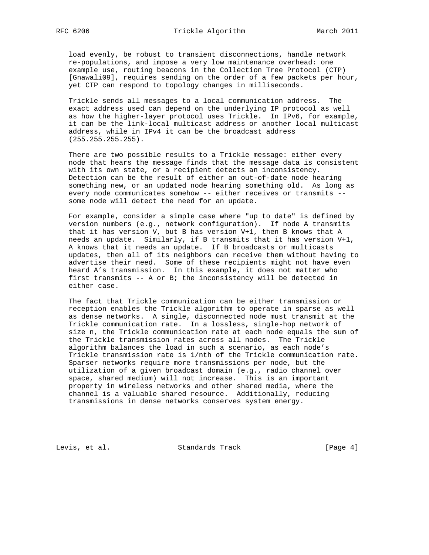load evenly, be robust to transient disconnections, handle network re-populations, and impose a very low maintenance overhead: one example use, routing beacons in the Collection Tree Protocol (CTP) [Gnawali09], requires sending on the order of a few packets per hour, yet CTP can respond to topology changes in milliseconds.

 Trickle sends all messages to a local communication address. The exact address used can depend on the underlying IP protocol as well as how the higher-layer protocol uses Trickle. In IPv6, for example, it can be the link-local multicast address or another local multicast address, while in IPv4 it can be the broadcast address (255.255.255.255).

 There are two possible results to a Trickle message: either every node that hears the message finds that the message data is consistent with its own state, or a recipient detects an inconsistency. Detection can be the result of either an out-of-date node hearing something new, or an updated node hearing something old. As long as every node communicates somehow -- either receives or transmits - some node will detect the need for an update.

 For example, consider a simple case where "up to date" is defined by version numbers (e.g., network configuration). If node A transmits that it has version V, but B has version V+1, then B knows that A needs an update. Similarly, if B transmits that it has version V+1, A knows that it needs an update. If B broadcasts or multicasts updates, then all of its neighbors can receive them without having to advertise their need. Some of these recipients might not have even heard A's transmission. In this example, it does not matter who first transmits -- A or B; the inconsistency will be detected in either case.

 The fact that Trickle communication can be either transmission or reception enables the Trickle algorithm to operate in sparse as well as dense networks. A single, disconnected node must transmit at the Trickle communication rate. In a lossless, single-hop network of size n, the Trickle communication rate at each node equals the sum of the Trickle transmission rates across all nodes. The Trickle algorithm balances the load in such a scenario, as each node's Trickle transmission rate is 1/nth of the Trickle communication rate. Sparser networks require more transmissions per node, but the utilization of a given broadcast domain (e.g., radio channel over space, shared medium) will not increase. This is an important property in wireless networks and other shared media, where the channel is a valuable shared resource. Additionally, reducing transmissions in dense networks conserves system energy.

Levis, et al. Standards Track [Page 4]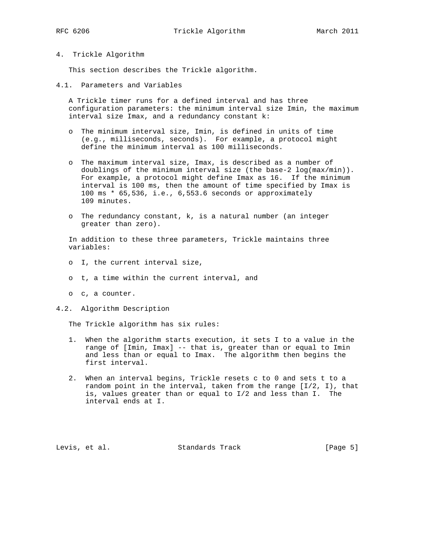## 4. Trickle Algorithm

This section describes the Trickle algorithm.

4.1. Parameters and Variables

 A Trickle timer runs for a defined interval and has three configuration parameters: the minimum interval size Imin, the maximum interval size Imax, and a redundancy constant k:

- o The minimum interval size, Imin, is defined in units of time (e.g., milliseconds, seconds). For example, a protocol might define the minimum interval as 100 milliseconds.
- o The maximum interval size, Imax, is described as a number of doublings of the minimum interval size (the base-2 log(max/min)). For example, a protocol might define Imax as 16. If the minimum interval is 100 ms, then the amount of time specified by Imax is 100 ms \* 65,536, i.e., 6,553.6 seconds or approximately 109 minutes.
- o The redundancy constant, k, is a natural number (an integer greater than zero).

 In addition to these three parameters, Trickle maintains three variables:

- o I, the current interval size,
- o t, a time within the current interval, and
- o c, a counter.

# 4.2. Algorithm Description

The Trickle algorithm has six rules:

- 1. When the algorithm starts execution, it sets I to a value in the range of [Imin, Imax] -- that is, greater than or equal to Imin and less than or equal to Imax. The algorithm then begins the first interval.
- 2. When an interval begins, Trickle resets c to 0 and sets t to a random point in the interval, taken from the range  $[I/2, I)$ , that is, values greater than or equal to I/2 and less than I. The interval ends at I.

Levis, et al. Standards Track [Page 5]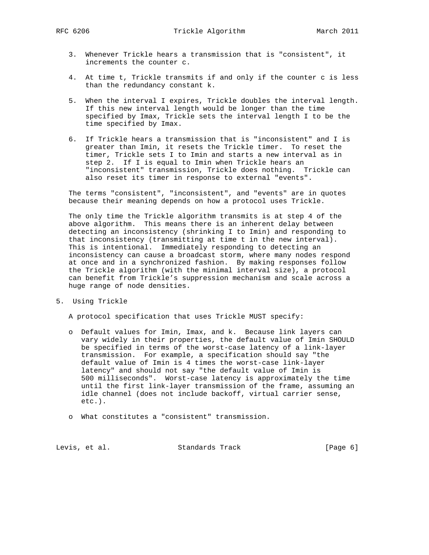RFC 6206 Trickle Algorithm March 2011

- 3. Whenever Trickle hears a transmission that is "consistent", it increments the counter c.
- 4. At time t, Trickle transmits if and only if the counter c is less than the redundancy constant k.
- 5. When the interval I expires, Trickle doubles the interval length. If this new interval length would be longer than the time specified by Imax, Trickle sets the interval length I to be the time specified by Imax.
- 6. If Trickle hears a transmission that is "inconsistent" and I is greater than Imin, it resets the Trickle timer. To reset the timer, Trickle sets I to Imin and starts a new interval as in step 2. If I is equal to Imin when Trickle hears an "inconsistent" transmission, Trickle does nothing. Trickle can also reset its timer in response to external "events".

 The terms "consistent", "inconsistent", and "events" are in quotes because their meaning depends on how a protocol uses Trickle.

 The only time the Trickle algorithm transmits is at step 4 of the above algorithm. This means there is an inherent delay between detecting an inconsistency (shrinking I to Imin) and responding to that inconsistency (transmitting at time t in the new interval). This is intentional. Immediately responding to detecting an inconsistency can cause a broadcast storm, where many nodes respond at once and in a synchronized fashion. By making responses follow the Trickle algorithm (with the minimal interval size), a protocol can benefit from Trickle's suppression mechanism and scale across a huge range of node densities.

5. Using Trickle

A protocol specification that uses Trickle MUST specify:

- o Default values for Imin, Imax, and k. Because link layers can vary widely in their properties, the default value of Imin SHOULD be specified in terms of the worst-case latency of a link-layer transmission. For example, a specification should say "the default value of Imin is 4 times the worst-case link-layer latency" and should not say "the default value of Imin is 500 milliseconds". Worst-case latency is approximately the time until the first link-layer transmission of the frame, assuming an idle channel (does not include backoff, virtual carrier sense, etc.).
- o What constitutes a "consistent" transmission.

Levis, et al. Standards Track [Page 6]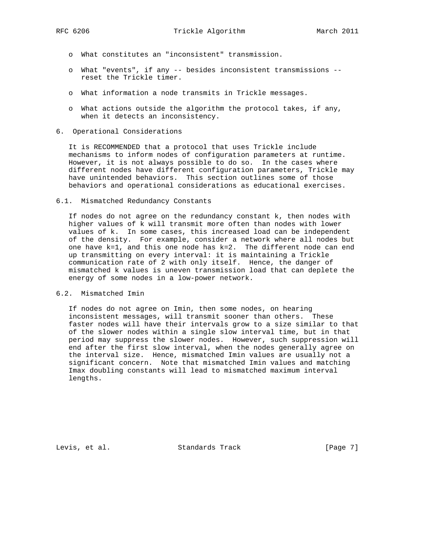- o What constitutes an "inconsistent" transmission.
- o What "events", if any -- besides inconsistent transmissions reset the Trickle timer.
- o What information a node transmits in Trickle messages.
- o What actions outside the algorithm the protocol takes, if any, when it detects an inconsistency.
- 6. Operational Considerations

 It is RECOMMENDED that a protocol that uses Trickle include mechanisms to inform nodes of configuration parameters at runtime. However, it is not always possible to do so. In the cases where different nodes have different configuration parameters, Trickle may have unintended behaviors. This section outlines some of those behaviors and operational considerations as educational exercises.

### 6.1. Mismatched Redundancy Constants

 If nodes do not agree on the redundancy constant k, then nodes with higher values of k will transmit more often than nodes with lower values of k. In some cases, this increased load can be independent of the density. For example, consider a network where all nodes but one have  $k=1$ , and this one node has  $k=2$ . The different node can end up transmitting on every interval: it is maintaining a Trickle communication rate of 2 with only itself. Hence, the danger of mismatched k values is uneven transmission load that can deplete the energy of some nodes in a low-power network.

## 6.2. Mismatched Imin

 If nodes do not agree on Imin, then some nodes, on hearing inconsistent messages, will transmit sooner than others. These faster nodes will have their intervals grow to a size similar to that of the slower nodes within a single slow interval time, but in that period may suppress the slower nodes. However, such suppression will end after the first slow interval, when the nodes generally agree on the interval size. Hence, mismatched Imin values are usually not a significant concern. Note that mismatched Imin values and matching Imax doubling constants will lead to mismatched maximum interval lengths.

Levis, et al. Standards Track [Page 7]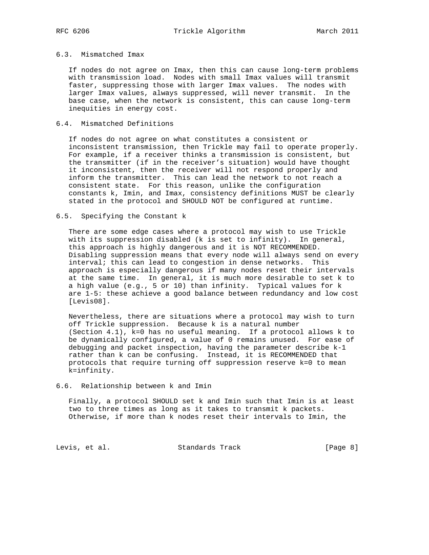# 6.3. Mismatched Imax

 If nodes do not agree on Imax, then this can cause long-term problems with transmission load. Nodes with small Imax values will transmit faster, suppressing those with larger Imax values. The nodes with larger Imax values, always suppressed, will never transmit. In the base case, when the network is consistent, this can cause long-term inequities in energy cost.

# 6.4. Mismatched Definitions

 If nodes do not agree on what constitutes a consistent or inconsistent transmission, then Trickle may fail to operate properly. For example, if a receiver thinks a transmission is consistent, but the transmitter (if in the receiver's situation) would have thought it inconsistent, then the receiver will not respond properly and inform the transmitter. This can lead the network to not reach a consistent state. For this reason, unlike the configuration constants k, Imin, and Imax, consistency definitions MUST be clearly stated in the protocol and SHOULD NOT be configured at runtime.

## 6.5. Specifying the Constant k

 There are some edge cases where a protocol may wish to use Trickle with its suppression disabled (k is set to infinity). In general, this approach is highly dangerous and it is NOT RECOMMENDED. Disabling suppression means that every node will always send on every interval; this can lead to congestion in dense networks. This approach is especially dangerous if many nodes reset their intervals at the same time. In general, it is much more desirable to set k to a high value (e.g., 5 or 10) than infinity. Typical values for k are 1-5: these achieve a good balance between redundancy and low cost [Levis08].

 Nevertheless, there are situations where a protocol may wish to turn off Trickle suppression. Because k is a natural number (Section 4.1), k=0 has no useful meaning. If a protocol allows k to be dynamically configured, a value of 0 remains unused. For ease of debugging and packet inspection, having the parameter describe k-1 rather than k can be confusing. Instead, it is RECOMMENDED that protocols that require turning off suppression reserve k=0 to mean k=infinity.

#### 6.6. Relationship between k and Imin

 Finally, a protocol SHOULD set k and Imin such that Imin is at least two to three times as long as it takes to transmit k packets. Otherwise, if more than k nodes reset their intervals to Imin, the

Levis, et al. Standards Track [Page 8]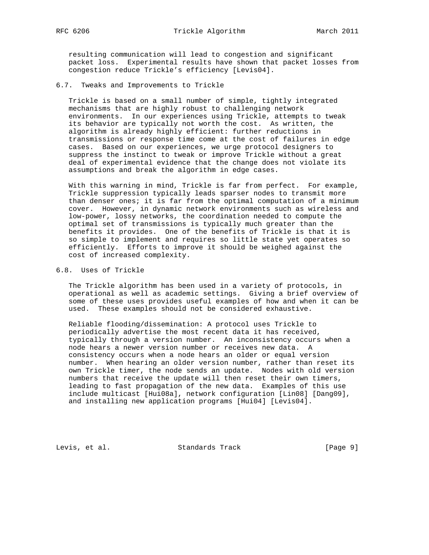resulting communication will lead to congestion and significant packet loss. Experimental results have shown that packet losses from congestion reduce Trickle's efficiency [Levis04].

6.7. Tweaks and Improvements to Trickle

 Trickle is based on a small number of simple, tightly integrated mechanisms that are highly robust to challenging network environments. In our experiences using Trickle, attempts to tweak its behavior are typically not worth the cost. As written, the algorithm is already highly efficient: further reductions in transmissions or response time come at the cost of failures in edge cases. Based on our experiences, we urge protocol designers to suppress the instinct to tweak or improve Trickle without a great deal of experimental evidence that the change does not violate its assumptions and break the algorithm in edge cases.

 With this warning in mind, Trickle is far from perfect. For example, Trickle suppression typically leads sparser nodes to transmit more than denser ones; it is far from the optimal computation of a minimum cover. However, in dynamic network environments such as wireless and low-power, lossy networks, the coordination needed to compute the optimal set of transmissions is typically much greater than the benefits it provides. One of the benefits of Trickle is that it is so simple to implement and requires so little state yet operates so efficiently. Efforts to improve it should be weighed against the cost of increased complexity.

6.8. Uses of Trickle

 The Trickle algorithm has been used in a variety of protocols, in operational as well as academic settings. Giving a brief overview of some of these uses provides useful examples of how and when it can be used. These examples should not be considered exhaustive.

 Reliable flooding/dissemination: A protocol uses Trickle to periodically advertise the most recent data it has received, typically through a version number. An inconsistency occurs when a node hears a newer version number or receives new data. A consistency occurs when a node hears an older or equal version number. When hearing an older version number, rather than reset its own Trickle timer, the node sends an update. Nodes with old version numbers that receive the update will then reset their own timers, leading to fast propagation of the new data. Examples of this use include multicast [Hui08a], network configuration [Lin08] [Dang09], and installing new application programs [Hui04] [Levis04].

Levis, et al. Standards Track [Page 9]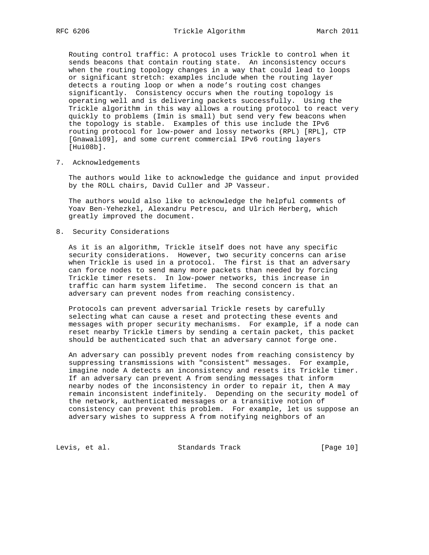Routing control traffic: A protocol uses Trickle to control when it sends beacons that contain routing state. An inconsistency occurs when the routing topology changes in a way that could lead to loops or significant stretch: examples include when the routing layer detects a routing loop or when a node's routing cost changes significantly. Consistency occurs when the routing topology is operating well and is delivering packets successfully. Using the Trickle algorithm in this way allows a routing protocol to react very quickly to problems (Imin is small) but send very few beacons when the topology is stable. Examples of this use include the IPv6 routing protocol for low-power and lossy networks (RPL) [RPL], CTP [Gnawali09], and some current commercial IPv6 routing layers [Hui08b].

7. Acknowledgements

 The authors would like to acknowledge the guidance and input provided by the ROLL chairs, David Culler and JP Vasseur.

 The authors would also like to acknowledge the helpful comments of Yoav Ben-Yehezkel, Alexandru Petrescu, and Ulrich Herberg, which greatly improved the document.

8. Security Considerations

 As it is an algorithm, Trickle itself does not have any specific security considerations. However, two security concerns can arise when Trickle is used in a protocol. The first is that an adversary can force nodes to send many more packets than needed by forcing Trickle timer resets. In low-power networks, this increase in traffic can harm system lifetime. The second concern is that an adversary can prevent nodes from reaching consistency.

 Protocols can prevent adversarial Trickle resets by carefully selecting what can cause a reset and protecting these events and messages with proper security mechanisms. For example, if a node can reset nearby Trickle timers by sending a certain packet, this packet should be authenticated such that an adversary cannot forge one.

 An adversary can possibly prevent nodes from reaching consistency by suppressing transmissions with "consistent" messages. For example, imagine node A detects an inconsistency and resets its Trickle timer. If an adversary can prevent A from sending messages that inform nearby nodes of the inconsistency in order to repair it, then A may remain inconsistent indefinitely. Depending on the security model of the network, authenticated messages or a transitive notion of consistency can prevent this problem. For example, let us suppose an adversary wishes to suppress A from notifying neighbors of an

Levis, et al. Standards Track [Page 10]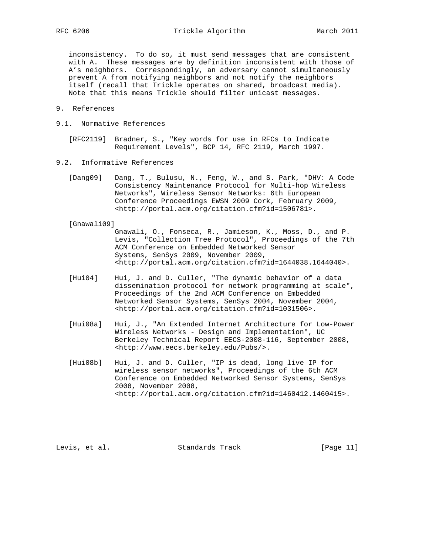inconsistency. To do so, it must send messages that are consistent with A. These messages are by definition inconsistent with those of A's neighbors. Correspondingly, an adversary cannot simultaneously prevent A from notifying neighbors and not notify the neighbors itself (recall that Trickle operates on shared, broadcast media). Note that this means Trickle should filter unicast messages.

- 9. References
- 9.1. Normative References

 [RFC2119] Bradner, S., "Key words for use in RFCs to Indicate Requirement Levels", BCP 14, RFC 2119, March 1997.

- 9.2. Informative References
	- [Dang09] Dang, T., Bulusu, N., Feng, W., and S. Park, "DHV: A Code Consistency Maintenance Protocol for Multi-hop Wireless Networks", Wireless Sensor Networks: 6th European Conference Proceedings EWSN 2009 Cork, February 2009, <http://portal.acm.org/citation.cfm?id=1506781>.

[Gnawali09]

 Gnawali, O., Fonseca, R., Jamieson, K., Moss, D., and P. Levis, "Collection Tree Protocol", Proceedings of the 7th ACM Conference on Embedded Networked Sensor Systems, SenSys 2009, November 2009, <http://portal.acm.org/citation.cfm?id=1644038.1644040>.

- [Hui04] Hui, J. and D. Culler, "The dynamic behavior of a data dissemination protocol for network programming at scale", Proceedings of the 2nd ACM Conference on Embedded Networked Sensor Systems, SenSys 2004, November 2004, <http://portal.acm.org/citation.cfm?id=1031506>.
- [Hui08a] Hui, J., "An Extended Internet Architecture for Low-Power Wireless Networks - Design and Implementation", UC Berkeley Technical Report EECS-2008-116, September 2008, <http://www.eecs.berkeley.edu/Pubs/>.
- [Hui08b] Hui, J. and D. Culler, "IP is dead, long live IP for wireless sensor networks", Proceedings of the 6th ACM Conference on Embedded Networked Sensor Systems, SenSys 2008, November 2008, <http://portal.acm.org/citation.cfm?id=1460412.1460415>.

Levis, et al. Standards Track [Page 11]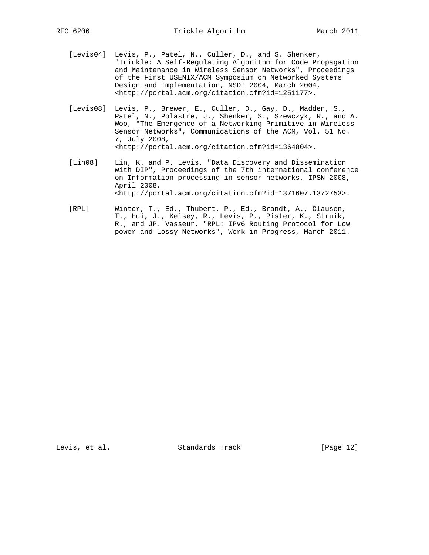- [Levis04] Levis, P., Patel, N., Culler, D., and S. Shenker, "Trickle: A Self-Regulating Algorithm for Code Propagation and Maintenance in Wireless Sensor Networks", Proceedings of the First USENIX/ACM Symposium on Networked Systems Design and Implementation, NSDI 2004, March 2004, <http://portal.acm.org/citation.cfm?id=1251177>.
- [Levis08] Levis, P., Brewer, E., Culler, D., Gay, D., Madden, S., Patel, N., Polastre, J., Shenker, S., Szewczyk, R., and A. Woo, "The Emergence of a Networking Primitive in Wireless Sensor Networks", Communications of the ACM, Vol. 51 No. 7, July 2008, <http://portal.acm.org/citation.cfm?id=1364804>.
- [Lin08] Lin, K. and P. Levis, "Data Discovery and Dissemination with DIP", Proceedings of the 7th international conference on Information processing in sensor networks, IPSN 2008, April 2008, <http://portal.acm.org/citation.cfm?id=1371607.1372753>.
- [RPL] Winter, T., Ed., Thubert, P., Ed., Brandt, A., Clausen, T., Hui, J., Kelsey, R., Levis, P., Pister, K., Struik, R., and JP. Vasseur, "RPL: IPv6 Routing Protocol for Low power and Lossy Networks", Work in Progress, March 2011.

Levis, et al. Standards Track [Page 12]